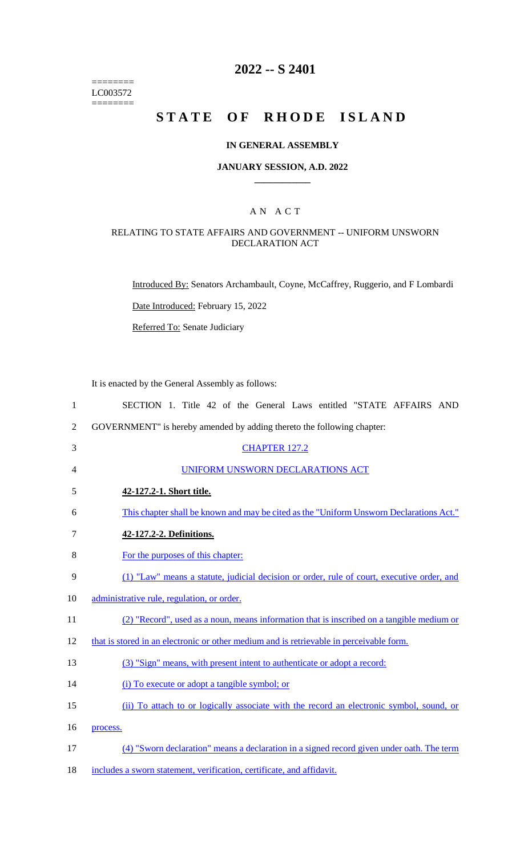======== LC003572 ========

# **2022 -- S 2401**

# **STATE OF RHODE ISLAND**

#### **IN GENERAL ASSEMBLY**

#### **JANUARY SESSION, A.D. 2022 \_\_\_\_\_\_\_\_\_\_\_\_**

## A N A C T

## RELATING TO STATE AFFAIRS AND GOVERNMENT -- UNIFORM UNSWORN DECLARATION ACT

Introduced By: Senators Archambault, Coyne, McCaffrey, Ruggerio, and F Lombardi

Date Introduced: February 15, 2022

Referred To: Senate Judiciary

It is enacted by the General Assembly as follows:

| $\mathbf{1}$   | SECTION 1. Title 42 of the General Laws entitled "STATE AFFAIRS AND                        |
|----------------|--------------------------------------------------------------------------------------------|
| $\overline{2}$ | GOVERNMENT" is hereby amended by adding thereto the following chapter:                     |
| 3              | <b>CHAPTER 127.2</b>                                                                       |
| 4              | UNIFORM UNSWORN DECLARATIONS ACT                                                           |
| 5              | 42-127.2-1. Short title.                                                                   |
| 6              | This chapter shall be known and may be cited as the "Uniform Unsworn Declarations Act."    |
| 7              | 42-127.2-2. Definitions.                                                                   |
| 8              | For the purposes of this chapter:                                                          |
| 9              | (1) "Law" means a statute, judicial decision or order, rule of court, executive order, and |
| 10             | administrative rule, regulation, or order.                                                 |
| 11             | (2) "Record", used as a noun, means information that is inscribed on a tangible medium or  |
| 12             | that is stored in an electronic or other medium and is retrievable in perceivable form.    |
| 13             | (3) "Sign" means, with present intent to authenticate or adopt a record:                   |
| 14             | (i) To execute or adopt a tangible symbol; or                                              |
| 15             | (ii) To attach to or logically associate with the record an electronic symbol, sound, or   |
| 16             | process.                                                                                   |
| 17             | (4) "Sworn declaration" means a declaration in a signed record given under oath. The term  |
| 18             | includes a sworn statement, verification, certificate, and affidavit.                      |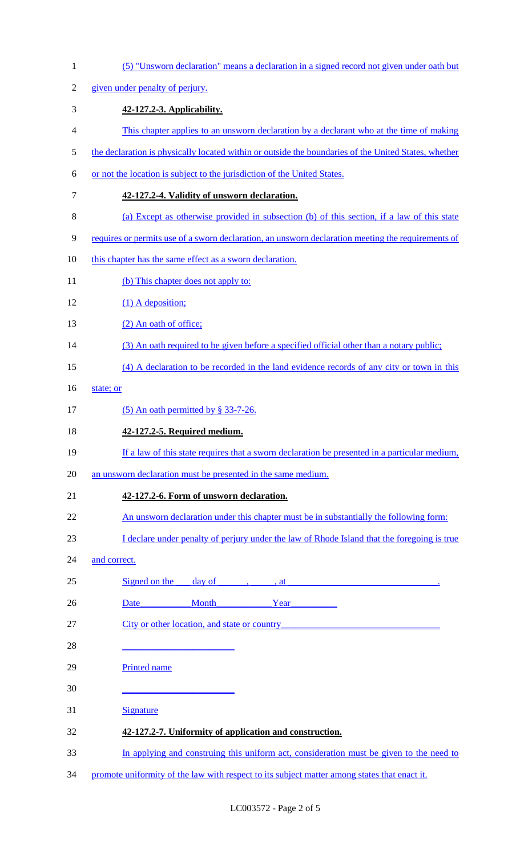| $\mathbf{1}$ | (5) "Unsworn declaration" means a declaration in a signed record not given under oath but            |
|--------------|------------------------------------------------------------------------------------------------------|
| 2            | given under penalty of perjury.                                                                      |
| 3            | 42-127.2-3. Applicability.                                                                           |
| 4            | This chapter applies to an unsworn declaration by a declarant who at the time of making              |
| 5            | the declaration is physically located within or outside the boundaries of the United States, whether |
| 6            | or not the location is subject to the jurisdiction of the United States.                             |
| $\tau$       | 42-127.2-4. Validity of unsworn declaration.                                                         |
| $8\,$        | (a) Except as otherwise provided in subsection (b) of this section, if a law of this state           |
| 9            | requires or permits use of a sworn declaration, an unsworn declaration meeting the requirements of   |
| 10           | this chapter has the same effect as a sworn declaration.                                             |
| 11           | (b) This chapter does not apply to:                                                                  |
| 12           | $(1)$ A deposition;                                                                                  |
| 13           | (2) An oath of office;                                                                               |
| 14           | (3) An oath required to be given before a specified official other than a notary public;             |
| 15           | (4) A declaration to be recorded in the land evidence records of any city or town in this            |
| 16           | state; or                                                                                            |
| 17           | $(5)$ An oath permitted by § 33-7-26.                                                                |
| 18           | 42-127.2-5. Required medium.                                                                         |
| 19           | If a law of this state requires that a sworn declaration be presented in a particular medium,        |
| 20           | an unsworn declaration must be presented in the same medium.                                         |
| 21           | 42-127.2-6. Form of unsworn declaration.                                                             |
| 22           | An unsworn declaration under this chapter must be in substantially the following form:               |
| 23           | I declare under penalty of perjury under the law of Rhode Island that the foregoing is true          |
| 24           | and correct.                                                                                         |
| 25           | Signed on the<br>day of $\_\_\_\,,\_\_\_\,,$ at                                                      |
| 26           | Month Year Year<br>Date                                                                              |
| 27           | City or other location, and state or country                                                         |
| 28           | <u> 1989 - Johann John Harry Barnett, fransk politik (</u>                                           |
| 29           | Printed name                                                                                         |
| 30           |                                                                                                      |
| 31           | <b>Signature</b>                                                                                     |
|              |                                                                                                      |
| 32           | 42-127.2-7. Uniformity of application and construction.                                              |
| 33           | In applying and construing this uniform act, consideration must be given to the need to              |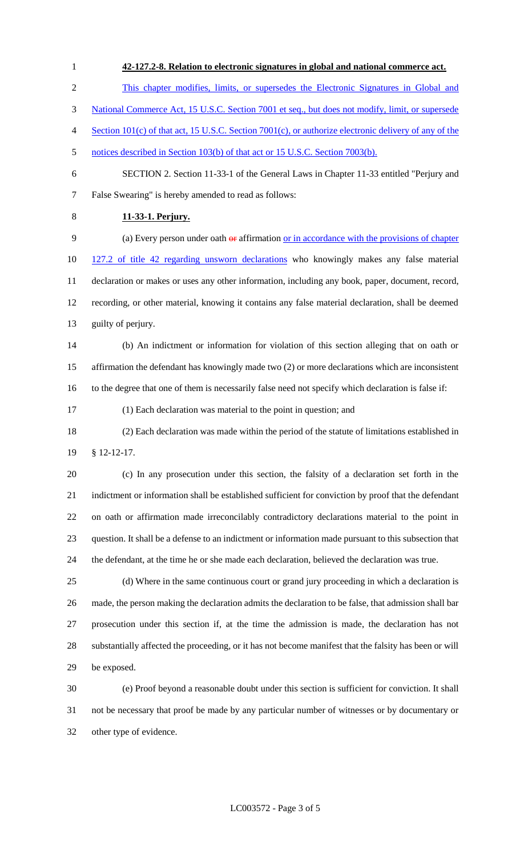This chapter modifies, limits, or supersedes the Electronic Signatures in Global and National Commerce Act, 15 U.S.C. Section 7001 et seq., but does not modify, limit, or supersede Section 101(c) of that act, 15 U.S.C. Section 7001(c), or authorize electronic delivery of any of the notices described in Section 103(b) of that act or 15 U.S.C. Section 7003(b). SECTION 2. Section 11-33-1 of the General Laws in Chapter 11-33 entitled "Perjury and False Swearing" is hereby amended to read as follows: **11-33-1. Perjury.** 9 (a) Every person under oath  $\theta$  affirmation or in accordance with the provisions of chapter 127.2 of title 42 regarding unsworn declarations who knowingly makes any false material declaration or makes or uses any other information, including any book, paper, document, record, recording, or other material, knowing it contains any false material declaration, shall be deemed guilty of perjury. (b) An indictment or information for violation of this section alleging that on oath or affirmation the defendant has knowingly made two (2) or more declarations which are inconsistent to the degree that one of them is necessarily false need not specify which declaration is false if: (1) Each declaration was material to the point in question; and (2) Each declaration was made within the period of the statute of limitations established in § 12-12-17. (c) In any prosecution under this section, the falsity of a declaration set forth in the indictment or information shall be established sufficient for conviction by proof that the defendant on oath or affirmation made irreconcilably contradictory declarations material to the point in question. It shall be a defense to an indictment or information made pursuant to this subsection that the defendant, at the time he or she made each declaration, believed the declaration was true. (d) Where in the same continuous court or grand jury proceeding in which a declaration is made, the person making the declaration admits the declaration to be false, that admission shall bar prosecution under this section if, at the time the admission is made, the declaration has not substantially affected the proceeding, or it has not become manifest that the falsity has been or will be exposed. (e) Proof beyond a reasonable doubt under this section is sufficient for conviction. It shall not be necessary that proof be made by any particular number of witnesses or by documentary or

**42-127.2-8. Relation to electronic signatures in global and national commerce act.** 

other type of evidence.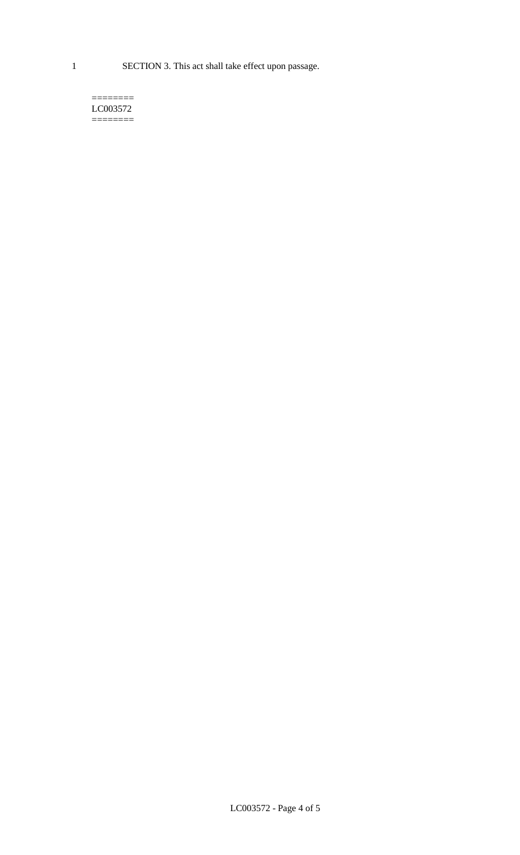1 SECTION 3. This act shall take effect upon passage.